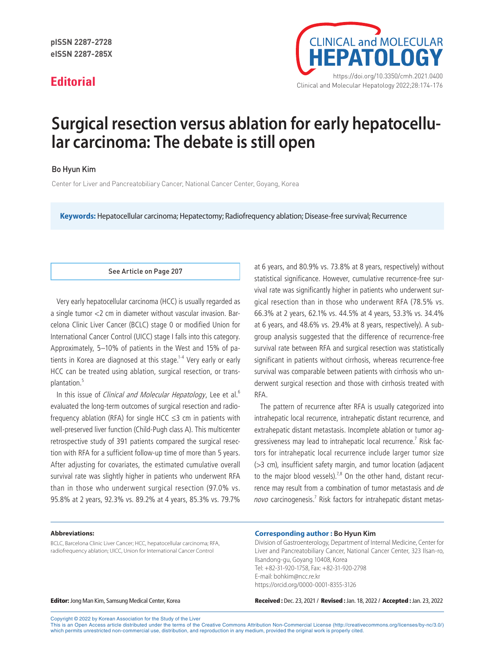

# **Surgical resection versus ablation for early hepatocellular carcinoma: The debate is still open**

## Bo Hyun Kim

Center for Liver and Pancreatobiliary Cancer, National Cancer Center, Goyang, Korea

**Keywords:** Hepatocellular carcinoma; Hepatectomy; Radiofrequency ablation; Disease-free survival; Recurrence

#### See Article on Page 207

Very early hepatocellular carcinoma (HCC) is usually regarded as a single tumor <2 cm in diameter without vascular invasion. Barcelona Clinic Liver Cancer (BCLC) stage 0 or modified Union for International Cancer Control (UICC) stage I falls into this category. Approximately, 5–10% of patients in the West and 15% of patients in Korea are diagnosed at this stage.<sup>1-4</sup> Very early or early HCC can be treated using ablation, surgical resection, or transplantation.<sup>5</sup>

In this issue of *Clinical and Molecular Hepatology*, Lee et al.<sup>6</sup> evaluated the long-term outcomes of surgical resection and radiofrequency ablation (RFA) for single HCC  $\leq$ 3 cm in patients with well-preserved liver function (Child-Pugh class A). This multicenter retrospective study of 391 patients compared the surgical resection with RFA for a sufficient follow-up time of more than 5 years. After adjusting for covariates, the estimated cumulative overall survival rate was slightly higher in patients who underwent RFA than in those who underwent surgical resection (97.0% vs. 95.8% at 2 years, 92.3% vs. 89.2% at 4 years, 85.3% vs. 79.7%

at 6 years, and 80.9% vs. 73.8% at 8 years, respectively) without statistical significance. However, cumulative recurrence-free survival rate was significantly higher in patients who underwent surgical resection than in those who underwent RFA (78.5% vs. 66.3% at 2 years, 62.1% vs. 44.5% at 4 years, 53.3% vs. 34.4% at 6 years, and 48.6% vs. 29.4% at 8 years, respectively). A subgroup analysis suggested that the difference of recurrence-free survival rate between RFA and surgical resection was statistically significant in patients without cirrhosis, whereas recurrence-free survival was comparable between patients with cirrhosis who underwent surgical resection and those with cirrhosis treated with RFA.

The pattern of recurrence after RFA is usually categorized into intrahepatic local recurrence, intrahepatic distant recurrence, and extrahepatic distant metastasis. Incomplete ablation or tumor aggressiveness may lead to intrahepatic local recurrence.<sup>7</sup> Risk factors for intrahepatic local recurrence include larger tumor size (>3 cm), insufficient safety margin, and tumor location (adjacent to the major blood vessels).<sup>7,8</sup> On the other hand, distant recurrence may result from a combination of tumor metastasis and de novo carcinogenesis.<sup>7</sup> Risk factors for intrahepatic distant metas-

#### **Abbreviations:**

BCLC, Barcelona Clinic Liver Cancer; HCC, hepatocellular carcinoma; RFA, radiofrequency ablation; UICC, Union for International Cancer Control

#### **Corresponding author : Bo Hyun Kim**

Division of Gastroenterology, Department of Internal Medicine, Center for Liver and Pancreatobiliary Cancer, National Cancer Center, 323 Ilsan-ro, Ilsandong-gu, Goyang 10408, Korea Tel: +82-31-920-1758, Fax: +82-31-920-2798 E-mail: bohkim@ncc.re.kr https://orcid.org/0000-0001-8355-3126

Editor: Jong Man Kim, Samsung Medical Center, Korea Received : Dec. 23, 2021 / Revised : Jan. 18, 2022 / Accepted : Jan. 23, 2022

Copyright © 2022 by Korean Association for the Study of the Liver

This is an Open Access article distributed under the terms of the Creative Commons Attribution Non-Commercial License (http://creativecommons.org/licenses/by-nc/3.0/) which permits unrestricted non-commercial use, distribution, and reproduction in any medium, provided the original work is properly cited.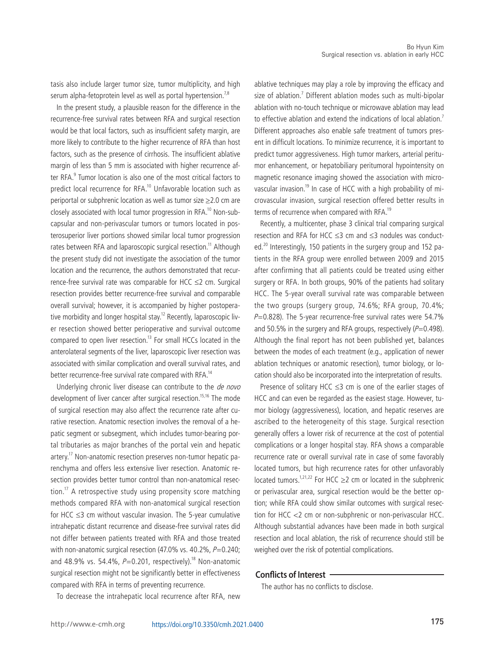tasis also include larger tumor size, tumor multiplicity, and high serum alpha-fetoprotein level as well as portal hypertension.<sup>7,8</sup>

In the present study, a plausible reason for the difference in the recurrence-free survival rates between RFA and surgical resection would be that local factors, such as insufficient safety margin, are more likely to contribute to the higher recurrence of RFA than host factors, such as the presence of cirrhosis. The insufficient ablative margin of less than 5 mm is associated with higher recurrence after RFA.<sup>9</sup> Tumor location is also one of the most critical factors to predict local recurrence for RFA.10 Unfavorable location such as periportal or subphrenic location as well as tumor size ≥2.0 cm are closely associated with local tumor progression in RFA.<sup>10</sup> Non-subcapsular and non-perivascular tumors or tumors located in posterosuperior liver portions showed similar local tumor progression rates between RFA and laparoscopic surgical resection.<sup>11</sup> Although the present study did not investigate the association of the tumor location and the recurrence, the authors demonstrated that recurrence-free survival rate was comparable for HCC  $\leq$ 2 cm. Surgical resection provides better recurrence-free survival and comparable overall survival; however, it is accompanied by higher postoperative morbidity and longer hospital stay.<sup>12</sup> Recently, laparoscopic liver resection showed better perioperative and survival outcome compared to open liver resection.<sup>13</sup> For small HCCs located in the anterolateral segments of the liver, laparoscopic liver resection was associated with similar complication and overall survival rates, and better recurrence-free survival rate compared with RFA.<sup>14</sup>

Underlying chronic liver disease can contribute to the *de novo* development of liver cancer after surgical resection.<sup>15,16</sup> The mode of surgical resection may also affect the recurrence rate after curative resection. Anatomic resection involves the removal of a hepatic segment or subsegment, which includes tumor-bearing portal tributaries as major branches of the portal vein and hepatic artery.<sup>17</sup> Non-anatomic resection preserves non-tumor hepatic parenchyma and offers less extensive liver resection. Anatomic resection provides better tumor control than non-anatomical resection.<sup>17</sup> A retrospective study using propensity score matching methods compared RFA with non-anatomical surgical resection for HCC ≤3 cm without vascular invasion. The 5-year cumulative intrahepatic distant recurrence and disease-free survival rates did not differ between patients treated with RFA and those treated with non-anatomic surgical resection (47.0% vs. 40.2%,  $P=0.240$ ; and 48.9% vs. 54.4%,  $P=0.201$ , respectively).<sup>18</sup> Non-anatomic surgical resection might not be significantly better in effectiveness compared with RFA in terms of preventing recurrence.

To decrease the intrahepatic local recurrence after RFA, new

ablative techniques may play a role by improving the efficacy and size of ablation.<sup>7</sup> Different ablation modes such as multi-bipolar ablation with no-touch technique or microwave ablation may lead to effective ablation and extend the indications of local ablation.<sup>7</sup> Different approaches also enable safe treatment of tumors present in difficult locations. To minimize recurrence, it is important to predict tumor aggressiveness. High tumor markers, arterial peritumor enhancement, or hepatobiliary peritumoral hypointensity on magnetic resonance imaging showed the association with microvascular invasion.19 In case of HCC with a high probability of microvascular invasion, surgical resection offered better results in terms of recurrence when compared with RFA.<sup>19</sup>

Recently, a multicenter, phase 3 clinical trial comparing surgical resection and RFA for HCC ≤3 cm and ≤3 nodules was conducted.<sup>20</sup> Interestingly, 150 patients in the surgery group and 152 patients in the RFA group were enrolled between 2009 and 2015 after confirming that all patients could be treated using either surgery or RFA. In both groups, 90% of the patients had solitary HCC. The 5-year overall survival rate was comparable between the two groups (surgery group, 74.6%; RFA group, 70.4%;  $P=0.828$ ). The 5-year recurrence-free survival rates were 54.7% and 50.5% in the surgery and RFA groups, respectively  $(P=0.498)$ . Although the final report has not been published yet, balances between the modes of each treatment (e.g., application of newer ablation techniques or anatomic resection), tumor biology, or location should also be incorporated into the interpretation of results.

Presence of solitary HCC ≤3 cm is one of the earlier stages of HCC and can even be regarded as the easiest stage. However, tumor biology (aggressiveness), location, and hepatic reserves are ascribed to the heterogeneity of this stage. Surgical resection generally offers a lower risk of recurrence at the cost of potential complications or a longer hospital stay. RFA shows a comparable recurrence rate or overall survival rate in case of some favorably located tumors, but high recurrence rates for other unfavorably located tumors.<sup>1,21,22</sup> For HCC ≥2 cm or located in the subphrenic or perivascular area, surgical resection would be the better option; while RFA could show similar outcomes with surgical resection for HCC <2 cm or non-subphrenic or non-perivascular HCC. Although substantial advances have been made in both surgical resection and local ablation, the risk of recurrence should still be weighed over the risk of potential complications.

### **Conflicts of Interest**

The author has no conflicts to disclose.